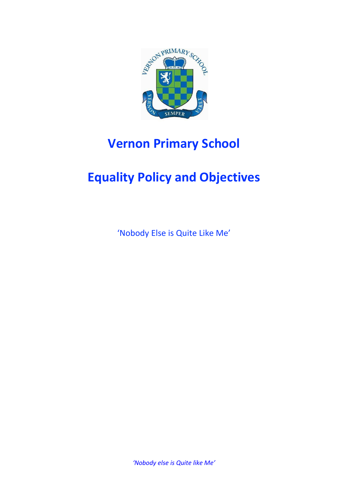

# **Vernon Primary School**

# **Equality Policy and Objectives**

'Nobody Else is Quite Like Me'

*'Nobody else is Quite like Me'*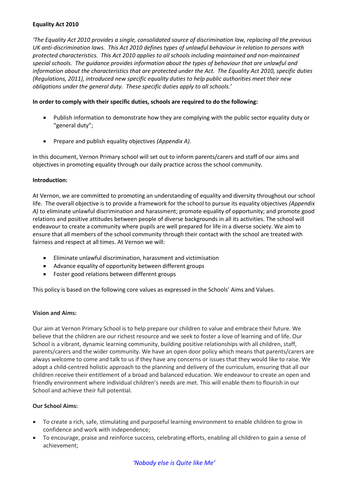### **Equality Act 2010**

*'The Equality Act 2010 provides a single, consolidated source of discrimination law, replacing all the previous UK anti-discrimination laws. This Act 2010 defines types of unlawful behaviour in relation to persons with protected characteristics. This Act 2010 applies to all schools including maintained and non-maintained special schools. The guidance provides information about the types of behaviour that are unlawful and information about the characteristics that are protected under the Act. The Equality Act 2010, specific duties (Regulations, 2011), introduced new specific equality duties to help public authorities meet their new obligations under the general duty. These specific duties apply to all schools.'* 

## **In order to comply with their specific duties, schools are required to do the following:**

- Publish information to demonstrate how they are complying with the public sector equality duty or "general duty";
- Prepare and publish equality objectives *(Appendix A)*.

In this document, Vernon Primary school will set out to inform parents/carers and staff of our aims and objectives in promoting equality through our daily practice across the school community.

### **Introduction:**

At Vernon, we are committed to promoting an understanding of equality and diversity throughout our school life. The overall objective is to provide a framework for the school to pursue its equality objectives *(Appendix A)* to eliminate unlawful discrimination and harassment; promote equality of opportunity; and promote good relations and positive attitudes between people of diverse backgrounds in all its activities. The school will endeavour to create a community where pupils are well prepared for life in a diverse society. We aim to ensure that all members of the school community through their contact with the school are treated with fairness and respect at all times. At Vernon we will:

- Eliminate unlawful discrimination, harassment and victimisation
- Advance equality of opportunity between different groups
- Foster good relations between different groups

This policy is based on the following core values as expressed in the Schools' Aims and Values.

# **Vision and Aims:**

Our aim at Vernon Primary School is to help prepare our children to value and embrace their future. We believe that the children are our richest resource and we seek to foster a love of learning and of life. Our School is a vibrant, dynamic learning community, building positive relationships with all children, staff, parents/carers and the wider community. We have an open door policy which means that parents/carers are always welcome to come and talk to us if they have any concerns or issues that they would like to raise. We adopt a child-centred holistic approach to the planning and delivery of the curriculum, ensuring that all our children receive their entitlement of a broad and balanced education. We endeavour to create an open and friendly environment where individual children's needs are met. This will enable them to flourish in our School and achieve their full potential.

# **Our School Aims:**

- To create a rich, safe, stimulating and purposeful learning environment to enable children to grow in confidence and work with independence;
- To encourage, praise and reinforce success, celebrating efforts, enabling all children to gain a sense of achievement;

# *'Nobody else is Quite like Me'*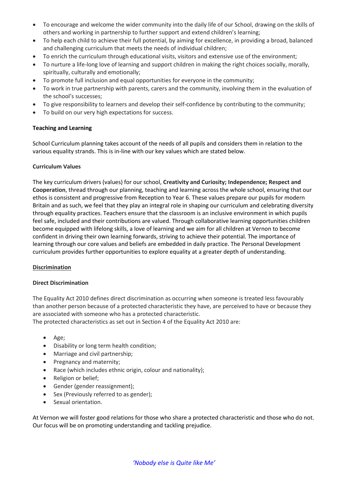- To encourage and welcome the wider community into the daily life of our School, drawing on the skills of others and working in partnership to further support and extend children's learning;
- To help each child to achieve their full potential, by aiming for excellence, in providing a broad, balanced and challenging curriculum that meets the needs of individual children;
- To enrich the curriculum through educational visits, visitors and extensive use of the environment;
- To nurture a life-long love of learning and support children in making the right choices socially, morally, spiritually, culturally and emotionally;
- To promote full inclusion and equal opportunities for everyone in the community;
- To work in true partnership with parents, carers and the community, involving them in the evaluation of the school's successes;
- To give responsibility to learners and develop their self-confidence by contributing to the community;
- To build on our very high expectations for success.

### **Teaching and Learning**

School Curriculum planning takes account of the needs of all pupils and considers them in relation to the various equality strands. This is in-line with our key values which are stated below.

### **Curriculum Values**

The key curriculum drivers (values) for our school, **Creativity and Curiosity; Independence; Respect and Cooperation**, thread through our planning, teaching and learning across the whole school, ensuring that our ethos is consistent and progressive from Reception to Year 6. These values prepare our pupils for modern Britain and as such, we feel that they play an integral role in shaping our curriculum and celebrating diversity through equality practices. Teachers ensure that the classroom is an inclusive environment in which pupils feel safe, included and their contributions are valued. Through collaborative learning opportunities children become equipped with lifelong skills, a love of learning and we aim for all children at Vernon to become confident in driving their own learning forwards, striving to achieve their potential. The importance of learning through our core values and beliefs are embedded in daily practice. The Personal Development curriculum provides further opportunities to explore equality at a greater depth of understanding.

# **Discrimination**

#### **Direct Discrimination**

The Equality Act 2010 defines direct discrimination as occurring when someone is treated less favourably than another person because of a protected characteristic they have, are perceived to have or because they are associated with someone who has a protected characteristic.

The protected characteristics as set out in Section 4 of the Equality Act 2010 are:

- Age;
- Disability or long term health condition;
- Marriage and civil partnership;
- Pregnancy and maternity;
- Race (which includes ethnic origin, colour and nationality);
- Religion or belief;
- Gender (gender reassignment);
- Sex (Previously referred to as gender);
- Sexual orientation.

At Vernon we will foster good relations for those who share a protected characteristic and those who do not. Our focus will be on promoting understanding and tackling prejudice.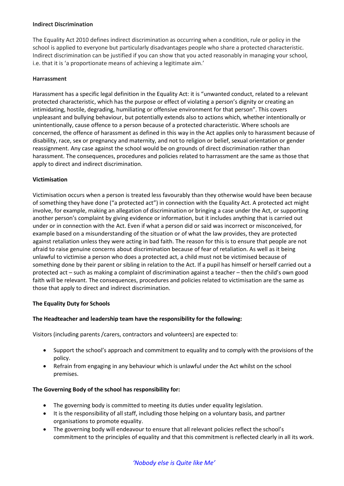#### **Indirect Discrimination**

The Equality Act 2010 defines indirect discrimination as occurring when a condition, rule or policy in the school is applied to everyone but particularly disadvantages people who share a protected characteristic. Indirect discrimination can be justified if you can show that you acted reasonably in managing your school, i.e. that it is 'a proportionate means of achieving a legitimate aim.'

#### **Harrassment**

Harassment has a specific legal definition in the Equality Act: it is "unwanted conduct, related to a relevant protected characteristic, which has the purpose or effect of violating a person's dignity or creating an intimidating, hostile, degrading, humiliating or offensive environment for that person". This covers unpleasant and bullying behaviour, but potentially extends also to actions which, whether intentionally or unintentionally, cause offence to a person because of a protected characteristic. Where schools are concerned, the offence of harassment as defined in this way in the Act applies only to harassment because of disability, race, sex or pregnancy and maternity, and not to religion or belief, sexual orientation or gender reassignment. Any case against the school would be on grounds of direct discrimination rather than harassment. The consequences, procedures and policies related to harrassment are the same as those that apply to direct and indirect discrimination.

#### **Victimisation**

Victimisation occurs when a person is treated less favourably than they otherwise would have been because of something they have done ("a protected act") in connection with the Equality Act. A protected act might involve, for example, making an allegation of discrimination or bringing a case under the Act, or supporting another person's complaint by giving evidence or information, but it includes anything that is carried out under or in connection with the Act. Even if what a person did or said was incorrect or misconceived, for example based on a misunderstanding of the situation or of what the law provides, they are protected against retaliation unless they were acting in bad faith. The reason for this is to ensure that people are not afraid to raise genuine concerns about discrimination because of fear of retaliation. As well as it being unlawful to victimise a person who does a protected act, a child must not be victimised because of something done by their parent or sibling in relation to the Act. If a pupil has himself or herself carried out a protected act – such as making a complaint of discrimination against a teacher – then the child's own good faith will be relevant. The consequences, procedures and policies related to victimisation are the same as those that apply to direct and indirect discrimination.

#### **The Equality Duty for Schools**

#### **The Headteacher and leadership team have the responsibility for the following:**

Visitors (including parents /carers, contractors and volunteers) are expected to:

- Support the school's approach and commitment to equality and to comply with the provisions of the policy.
- Refrain from engaging in any behaviour which is unlawful under the Act whilst on the school premises.

#### **The Governing Body of the school has responsibility for:**

- The governing body is committed to meeting its duties under equality legislation.
- It is the responsibility of all staff, including those helping on a voluntary basis, and partner organisations to promote equality.
- The governing body will endeavour to ensure that all relevant policies reflect the school's commitment to the principles of equality and that this commitment is reflected clearly in all its work.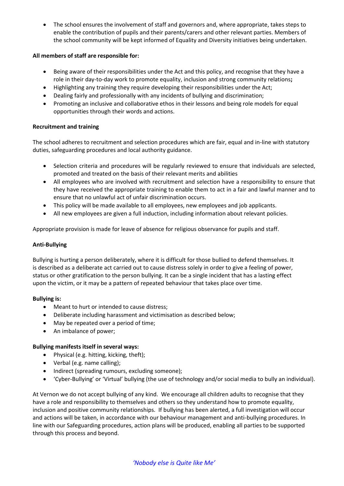The school ensures the involvement of staff and governors and, where appropriate, takes steps to enable the contribution of pupils and their parents/carers and other relevant parties. Members of the school community will be kept informed of Equality and Diversity initiatives being undertaken.

# **All members of staff are responsible for:**

- Being aware of their responsibilities under the Act and this policy, and recognise that they have a role in their day-to-day work to promote equality, inclusion and strong community relations**;**
- Highlighting any training they require developing their responsibilities under the Act;
- Dealing fairly and professionally with any incidents of bullying and discrimination;
- Promoting an inclusive and collaborative ethos in their lessons and being role models for equal opportunities through their words and actions.

# **Recruitment and training**

The school adheres to recruitment and selection procedures which are fair, equal and in-line with statutory duties, safeguarding procedures and local authority guidance.

- Selection criteria and procedures will be regularly reviewed to ensure that individuals are selected, promoted and treated on the basis of their relevant merits and abilities
- All employees who are involved with recruitment and selection have a responsibility to ensure that they have received the appropriate training to enable them to act in a fair and lawful manner and to ensure that no unlawful act of unfair discrimination occurs.
- This policy will be made available to all employees, new employees and job applicants.
- All new employees are given a full induction, including information about relevant policies.

Appropriate provision is made for leave of absence for religious observance for pupils and staff.

# **Anti-Bullying**

Bullying is hurting a person deliberately, where it is difficult for those bullied to defend themselves. It is described as a deliberate act carried out to cause distress solely in order to give a feeling of power, status or other gratification to the person bullying. It can be a single incident that has a lasting effect upon the victim, or it may be a pattern of repeated behaviour that takes place over time.

# **Bullying is:**

- Meant to hurt or intended to cause distress;
- Deliberate including harassment and victimisation as described below;
- May be repeated over a period of time;
- An imbalance of power;

# **Bullying manifests itself in several ways:**

- Physical (e.g. hitting, kicking, theft);
- Verbal (e.g. name calling);
- Indirect (spreading rumours, excluding someone);
- 'Cyber-Bullying' or 'Virtual' bullying (the use of technology and/or social media to bully an individual).

At Vernon we do not accept bullying of any kind. We encourage all children adults to recognise that they have a role and responsibility to themselves and others so they understand how to promote equality, inclusion and positive community relationships. If bullying has been alerted, a full investigation will occur and actions will be taken, in accordance with our behaviour management and anti-bullying procedures. In line with our Safeguarding procedures, action plans will be produced, enabling all parties to be supported through this process and beyond.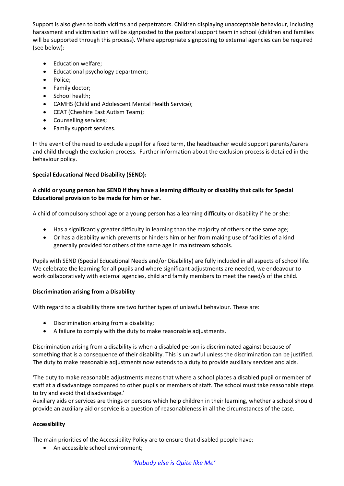Support is also given to both victims and perpetrators. Children displaying unacceptable behaviour, including harassment and victimisation will be signposted to the pastoral support team in school (children and families will be supported through this process). Where appropriate signposting to external agencies can be required (see below):

- Education welfare;
- Educational psychology department;
- Police:
- Family doctor;
- School health;
- CAMHS (Child and Adolescent Mental Health Service);
- CEAT (Cheshire East Autism Team);
- Counselling services;
- Family support services.

In the event of the need to exclude a pupil for a fixed term, the headteacher would support parents/carers and child through the exclusion process. Further information about the exclusion process is detailed in the behaviour policy.

# **Special Educational Need Disability (SEND):**

# **A child or young person has SEND if they have a learning difficulty or disability that calls for Special Educational provision to be made for him or her.**

A child of compulsory school age or a young person has a learning difficulty or disability if he or she:

- Has a significantly greater difficulty in learning than the majority of others or the same age;
- Or has a disability which prevents or hinders him or her from making use of facilities of a kind generally provided for others of the same age in mainstream schools.

Pupils with SEND (Special Educational Needs and/or Disability) are fully included in all aspects of school life. We celebrate the learning for all pupils and where significant adjustments are needed, we endeavour to work collaboratively with external agencies, child and family members to meet the need/s of the child.

# **Discrimination arising from a Disability**

With regard to a disability there are two further types of unlawful behaviour. These are:

- Discrimination arising from a disability;
- A failure to comply with the duty to make reasonable adjustments.

Discrimination arising from a disability is when a disabled person is discriminated against because of something that is a consequence of their disability. This is unlawful unless the discrimination can be justified. The duty to make reasonable adjustments now extends to a duty to provide auxiliary services and aids.

'The duty to make reasonable adjustments means that where a school places a disabled pupil or member of staff at a disadvantage compared to other pupils or members of staff. The school must take reasonable steps to try and avoid that disadvantage.'

Auxiliary aids or services are things or persons which help children in their learning, whether a school should provide an auxiliary aid or service is a question of reasonableness in all the circumstances of the case.

# **Accessibility**

The main priorities of the Accessibility Policy are to ensure that disabled people have:

An accessible school environment;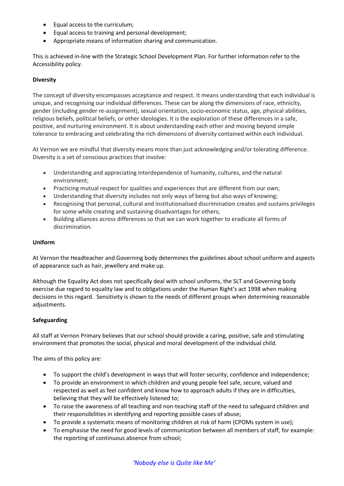- Equal access to the curriculum;
- Equal access to training and personal development;
- Appropriate means of information sharing and communication.

This is achieved in-line with the Strategic School Development Plan. For further information refer to the Accessibility policy.

### **Diversity**

The concept of diversity encompasses acceptance and respect. It means understanding that each individual is unique, and recognising our individual differences. These can be along the dimensions of race, ethnicity, gender (including gender re-assignment), sexual orientation, socio-economic status, age, physical abilities, religious beliefs, political beliefs, or other ideologies. It is the exploration of these differences in a safe, positive, and nurturing environment. It is about understanding each other and moving beyond simple tolerance to embracing and celebrating the rich dimensions of diversity contained within each individual.

At Vernon we are mindful that diversity means more than just acknowledging and/or tolerating difference. Diversity is a set of conscious practices that involve:

- Understanding and appreciating interdependence of humanity, cultures, and the natural environment;
- Practicing mutual respect for qualities and experiences that are different from our own;
- Understanding that diversity includes not only ways of being but also ways of knowing;
- Recognising that personal, cultural and institutionalised discrimination creates and sustains privileges for some while creating and sustaining disadvantages for others;
- Building alliances across differences so that we can work together to eradicate all forms of discrimination.

### **Uniform**

At Vernon the Headteacher and Governing body determines the guidelines about school uniform and aspects of appearance such as hair, jewellery and make up.

Although the Equality Act does not specifically deal with school uniforms, the SLT and Governing body exercise due regard to equality law and to obligations under the Human Right's act 1998 when making decisions in this regard. Sensitivity is shown to the needs of different groups when determining reasonable adjustments.

# **Safeguarding**

All staff at Vernon Primary believes that our school should provide a caring, positive, safe and stimulating environment that promotes the social, physical and moral development of the individual child.

The aims of this policy are:

- To support the child's development in ways that will foster security, confidence and independence;
- To provide an environment in which children and young people feel safe, secure, valued and respected as well as feel confident and know how to approach adults if they are in difficulties, believing that they will be effectively listened to;
- To raise the awareness of all teaching and non-teaching staff of the need to safeguard children and their responsibilities in identifying and reporting possible cases of abuse;
- To provide a systematic means of monitoring children at risk of harm (CPOMs system in use);
- To emphasise the need for good levels of communication between all members of staff, for example: the reporting of continuous absence from school;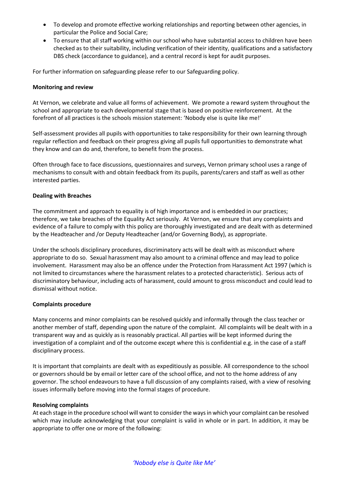- To develop and promote effective working relationships and reporting between other agencies, in particular the Police and Social Care;
- To ensure that all staff working within our school who have substantial access to children have been checked as to their suitability, including verification of their identity, qualifications and a satisfactory DBS check (accordance to guidance), and a central record is kept for audit purposes.

For further information on safeguarding please refer to our Safeguarding policy.

#### **Monitoring and review**

At Vernon, we celebrate and value all forms of achievement. We promote a reward system throughout the school and appropriate to each developmental stage that is based on positive reinforcement. At the forefront of all practices is the schools mission statement: 'Nobody else is quite like me!'

Self-assessment provides all pupils with opportunities to take responsibility for their own learning through regular reflection and feedback on their progress giving all pupils full opportunities to demonstrate what they know and can do and, therefore, to benefit from the process.

Often through face to face discussions, questionnaires and surveys, Vernon primary school uses a range of mechanisms to consult with and obtain feedback from its pupils, parents/carers and staff as well as other interested parties.

### **Dealing with Breaches**

The commitment and approach to equality is of high importance and is embedded in our practices; therefore, we take breaches of the Equality Act seriously. At Vernon, we ensure that any complaints and evidence of a failure to comply with this policy are thoroughly investigated and are dealt with as determined by the Headteacher and /or Deputy Headteacher (and/or Governing Body), as appropriate.

Under the schools disciplinary procedures, discriminatory acts will be dealt with as misconduct where appropriate to do so. Sexual harassment may also amount to a criminal offence and may lead to police involvement. Harassment may also be an offence under the Protection from Harassment Act 1997 (which is not limited to circumstances where the harassment relates to a protected characteristic). Serious acts of discriminatory behaviour, including acts of harassment, could amount to gross misconduct and could lead to dismissal without notice.

#### **Complaints procedure**

Many concerns and minor complaints can be resolved quickly and informally through the class teacher or another member of staff, depending upon the nature of the complaint. All complaints will be dealt with in a transparent way and as quickly as is reasonably practical. All parties will be kept informed during the investigation of a complaint and of the outcome except where this is confidential e.g. in the case of a staff disciplinary process.

It is important that complaints are dealt with as expeditiously as possible. All correspondence to the school or governors should be by email or letter care of the school office, and not to the home address of any governor. The school endeavours to have a full discussion of any complaints raised, with a view of resolving issues informally before moving into the formal stages of procedure.

#### **Resolving complaints**

At each stage in the procedure school will want to consider the ways in which your complaint can be resolved which may include acknowledging that your complaint is valid in whole or in part. In addition, it may be appropriate to offer one or more of the following: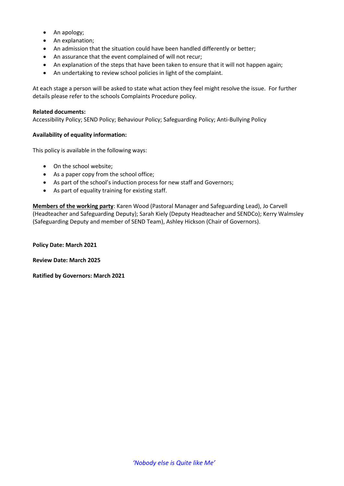- An apology;
- An explanation;
- An admission that the situation could have been handled differently or better;
- An assurance that the event complained of will not recur;
- An explanation of the steps that have been taken to ensure that it will not happen again;
- An undertaking to review school policies in light of the complaint.

At each stage a person will be asked to state what action they feel might resolve the issue. For further details please refer to the schools Complaints Procedure policy.

### **Related documents:**

Accessibility Policy; SEND Policy; Behaviour Policy; Safeguarding Policy; Anti-Bullying Policy

# **Availability of equality information:**

This policy is available in the following ways:

- On the school website;
- As a paper copy from the school office;
- As part of the school's induction process for new staff and Governors;
- As part of equality training for existing staff.

**Members of the working party**: Karen Wood (Pastoral Manager and Safeguarding Lead), Jo Carvell (Headteacher and Safeguarding Deputy); Sarah Kiely (Deputy Headteacher and SENDCo); Kerry Walmsley (Safeguarding Deputy and member of SEND Team), Ashley Hickson (Chair of Governors).

**Policy Date: March 2021**

**Review Date: March 2025**

**Ratified by Governors: March 2021**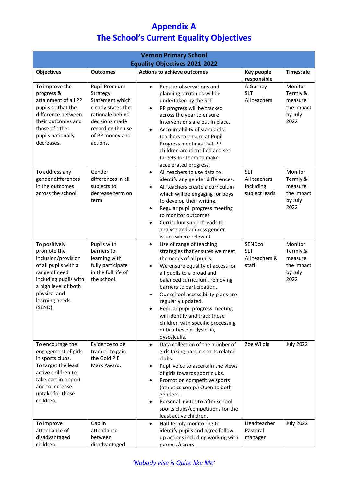# **Appendix A The School's Current Equality Objectives**

| <b>Vernon Primary School</b><br><b>Equality Objectives 2021-2022</b>                                                                                                                       |                                                                                                                                                              |                                                                                                                                                                                                                                                                                                                                                                                                                                                                                   |                                                          |                                                                 |  |
|--------------------------------------------------------------------------------------------------------------------------------------------------------------------------------------------|--------------------------------------------------------------------------------------------------------------------------------------------------------------|-----------------------------------------------------------------------------------------------------------------------------------------------------------------------------------------------------------------------------------------------------------------------------------------------------------------------------------------------------------------------------------------------------------------------------------------------------------------------------------|----------------------------------------------------------|-----------------------------------------------------------------|--|
| <b>Objectives</b>                                                                                                                                                                          | <b>Outcomes</b>                                                                                                                                              | <b>Actions to achieve outcomes</b>                                                                                                                                                                                                                                                                                                                                                                                                                                                | <b>Key people</b><br>responsible                         | <b>Timescale</b>                                                |  |
| To improve the<br>progress &<br>attainment of all PP<br>pupils so that the<br>difference between<br>their outcomes and<br>those of other<br>pupils nationally<br>decreases.                | Pupil Premium<br>Strategy<br>Statement which<br>clearly states the<br>rationale behind<br>decisions made<br>regarding the use<br>of PP money and<br>actions. | Regular observations and<br>$\bullet$<br>planning scrutinies will be<br>undertaken by the SLT.<br>PP progress will be tracked<br>$\bullet$<br>across the year to ensure<br>interventions are put in place.<br>Accountability of standards:<br>$\bullet$<br>teachers to ensure at Pupil<br>Progress meetings that PP<br>children are identified and set<br>targets for them to make<br>accelerated progress.                                                                       | A.Gurney<br><b>SLT</b><br>All teachers                   | Monitor<br>Termly &<br>measure<br>the impact<br>by July<br>2022 |  |
| To address any<br>gender differences<br>in the outcomes<br>across the school                                                                                                               | Gender<br>differences in all<br>subjects to<br>decrease term on<br>term                                                                                      | All teachers to use data to<br>$\bullet$<br>identify any gender differences.<br>All teachers create a curriculum<br>$\bullet$<br>which will be engaging for boys<br>to develop their writing.<br>Regular pupil progress meeting<br>to monitor outcomes<br>Curriculum subject leads to<br>$\bullet$<br>analyse and address gender<br>issues where relevant                                                                                                                         | <b>SLT</b><br>All teachers<br>including<br>subject leads | Monitor<br>Termly &<br>measure<br>the impact<br>by July<br>2022 |  |
| To positively<br>promote the<br>inclusion/provision<br>of all pupils with a<br>range of need<br>including pupils with<br>a high level of both<br>physical and<br>learning needs<br>(SEND). | Pupils with<br>barriers to<br>learning with<br>fully participate<br>in the full life of<br>the school.                                                       | Use of range of teaching<br>$\bullet$<br>strategies that ensures we meet<br>the needs of all pupils.<br>We ensure equality of access for<br>$\bullet$<br>all pupils to a broad and<br>balanced curriculum, removing<br>barriers to participation.<br>Our school accessibility plans are<br>$\bullet$<br>regularly updated.<br>Regular pupil progress meeting<br>will identify and track those<br>children with specific processing<br>difficulties e.g. dyslexia,<br>dyscalculia. | SENDco<br><b>SLT</b><br>All teachers &<br>staff          | Monitor<br>Termly &<br>measure<br>the impact<br>by July<br>2022 |  |
| To encourage the<br>engagement of girls<br>in sports clubs.<br>To target the least<br>active children to<br>take part in a sport<br>and to increase<br>uptake for those<br>children.       | Evidence to be<br>tracked to gain<br>the Gold P.E<br>Mark Award.                                                                                             | Data collection of the number of<br>$\bullet$<br>girls taking part in sports related<br>clubs.<br>Pupil voice to ascertain the views<br>$\bullet$<br>of girls towards sport clubs.<br>Promotion competitive sports<br>$\bullet$<br>(athletics comp.) Open to both<br>genders.<br>Personal invites to after school<br>$\bullet$<br>sports clubs/competitions for the<br>least active children.                                                                                     | Zoe Wildig                                               | <b>July 2022</b>                                                |  |
| To improve<br>attendance of<br>disadvantaged<br>children                                                                                                                                   | Gap in<br>attendance<br>between<br>disadvantaged                                                                                                             | Half termly monitoring to<br>$\bullet$<br>identify pupils and agree follow-<br>up actions including working with<br>parents/carers.                                                                                                                                                                                                                                                                                                                                               | Headteacher<br>Pastoral<br>manager                       | <b>July 2022</b>                                                |  |